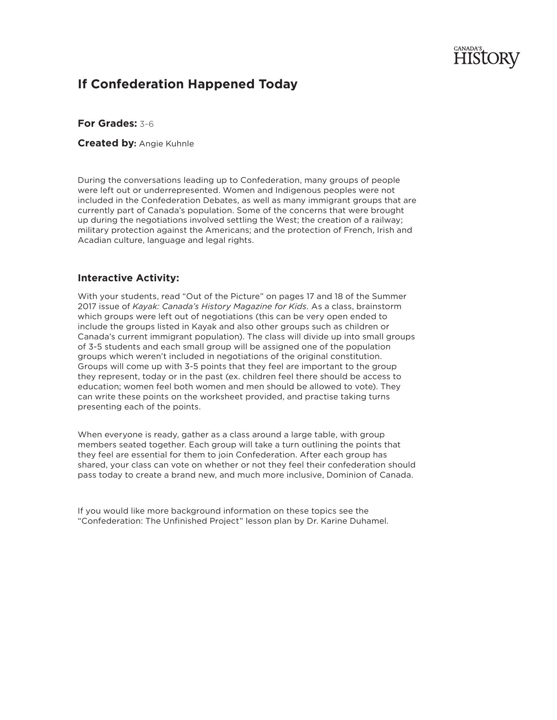# **HISTORV**

## **If Confederation Happened Today**

#### **For Grades:** 3-6

#### **Created by:** Angie Kuhnle

During the conversations leading up to Confederation, many groups of people were left out or underrepresented. Women and Indigenous peoples were not included in the Confederation Debates, as well as many immigrant groups that are currently part of Canada's population. Some of the concerns that were brought up during the negotiations involved settling the West; the creation of a railway; military protection against the Americans; and the protection of French, Irish and Acadian culture, language and legal rights.

#### **Interactive Activity:**

With your students, read "Out of the Picture" on pages 17 and 18 of the Summer 2017 issue of *Kayak: Canada's History Magazine for Kids.* As a class, brainstorm which groups were left out of negotiations (this can be very open ended to include the groups listed in Kayak and also other groups such as children or Canada's current immigrant population). The class will divide up into small groups of 3-5 students and each small group will be assigned one of the population groups which weren't included in negotiations of the original constitution. Groups will come up with 3-5 points that they feel are important to the group they represent, today or in the past (ex. children feel there should be access to education; women feel both women and men should be allowed to vote). They can write these points on the worksheet provided, and practise taking turns presenting each of the points.

When everyone is ready, gather as a class around a large table, with group members seated together. Each group will take a turn outlining the points that they feel are essential for them to join Confederation. After each group has shared, your class can vote on whether or not they feel their confederation should pass today to create a brand new, and much more inclusive, Dominion of Canada.

If you would like more background information on these topics see the "Confederation: The Unfinished Project" lesson plan by Dr. Karine Duhamel.